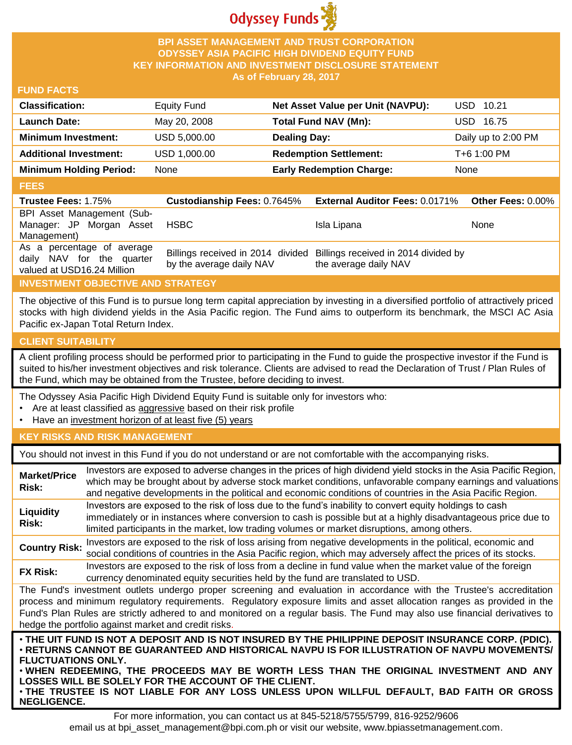

### **BPI ASSET MANAGEMENT AND TRUST CORPORATION ODYSSEY ASIA PACIFIC HIGH DIVIDEND EQUITY FUND KEY INFORMATION AND INVESTMENT DISCLOSURE STATEMENT As of February 28, 2017**

#### **FUND FACTS**

| <b>Classification:</b>         | <b>Equity Fund</b> | Net Asset Value per Unit (NAVPU): | USD 10.21           |
|--------------------------------|--------------------|-----------------------------------|---------------------|
| Launch Date:                   | May 20, 2008       | Total Fund NAV (Mn):              | USD 16.75           |
| <b>Minimum Investment:</b>     | USD 5,000.00       | <b>Dealing Day:</b>               | Daily up to 2:00 PM |
| <b>Additional Investment:</b>  | USD 1,000.00       | <b>Redemption Settlement:</b>     | T+6 1:00 PM         |
| <b>Minimum Holding Period:</b> | None               | <b>Early Redemption Charge:</b>   | None                |
|                                |                    |                                   |                     |

#### **FEES**

| -----                                                   |                                    |                                                                        |      |
|---------------------------------------------------------|------------------------------------|------------------------------------------------------------------------|------|
| <b>Trustee Fees: 1.75%</b>                              | <b>Custodianship Fees: 0.7645%</b> | <b>External Auditor Fees: 0.0171% Other Fees: 0.00%</b>                |      |
| BPI Asset Management (Sub-                              |                                    |                                                                        |      |
| Manager: JP Morgan Asset                                | <b>HSBC</b>                        | Isla Lipana                                                            | None |
| Management)                                             |                                    |                                                                        |      |
| As a percentage of average<br>daily NAV for the quarter |                                    | Billings received in 2014 divided Billings received in 2014 divided by |      |
| valued at USD16.24 Million                              | by the average daily NAV           | the average daily NAV                                                  |      |

# **INVESTMENT OBJECTIVE AND STRATEGY**

The objective of this Fund is to pursue long term capital appreciation by investing in a diversified portfolio of attractively priced stocks with high dividend yields in the Asia Pacific region. The Fund aims to outperform its benchmark, the MSCI AC Asia Pacific ex-Japan Total Return Index.

# **CLIENT SUITABILITY**

**NEGLIGENCE.**

A client profiling process should be performed prior to participating in the Fund to guide the prospective investor if the Fund is suited to his/her investment objectives and risk tolerance. Clients are advised to read the Declaration of Trust / Plan Rules of the Fund, which may be obtained from the Trustee, before deciding to invest.

The Odyssey Asia Pacific High Dividend Equity Fund is suitable only for investors who:

- Are at least classified as aggressive based on their risk profile
- Have an investment horizon of at least five (5) years

## **KEY RISKS AND RISK MANAGEMENT**

You should not invest in this Fund if you do not understand or are not comfortable with the accompanying risks.

| <b>Market/Price</b><br>Risk: | Investors are exposed to adverse changes in the prices of high dividend yield stocks in the Asia Pacific Region,<br>which may be brought about by adverse stock market conditions, unfavorable company earnings and valuations<br>and negative developments in the political and economic conditions of countries in the Asia Pacific Region.                                                                                                    |
|------------------------------|--------------------------------------------------------------------------------------------------------------------------------------------------------------------------------------------------------------------------------------------------------------------------------------------------------------------------------------------------------------------------------------------------------------------------------------------------|
| Liquidity<br>Risk:           | Investors are exposed to the risk of loss due to the fund's inability to convert equity holdings to cash<br>immediately or in instances where conversion to cash is possible but at a highly disadvantageous price due to<br>limited participants in the market, low trading volumes or market disruptions, among others.                                                                                                                        |
| <b>Country Risk:</b>         | Investors are exposed to the risk of loss arising from negative developments in the political, economic and<br>social conditions of countries in the Asia Pacific region, which may adversely affect the prices of its stocks.                                                                                                                                                                                                                   |
| <b>FX Risk:</b>              | Investors are exposed to the risk of loss from a decline in fund value when the market value of the foreign<br>currency denominated equity securities held by the fund are translated to USD.                                                                                                                                                                                                                                                    |
|                              | The Fund's investment outlets undergo proper screening and evaluation in accordance with the Trustee's accreditation<br>process and minimum regulatory requirements. Regulatory exposure limits and asset allocation ranges as provided in the<br>Fund's Plan Rules are strictly adhered to and monitored on a regular basis. The Fund may also use financial derivatives to<br>hedge the portfolio against market and credit risks.             |
| <b>FLUCTUATIONS ONLY.</b>    | . THE UIT FUND IS NOT A DEPOSIT AND IS NOT INSURED BY THE PHILIPPINE DEPOSIT INSURANCE CORP. (PDIC).<br>· RETURNS CANNOT BE GUARANTEED AND HISTORICAL NAVPU IS FOR ILLUSTRATION OF NAVPU MOVEMENTS/<br>. WHEN REDEEMING, THE PROCEEDS MAY BE WORTH LESS THAN THE ORIGINAL INVESTMENT AND ANY<br>LOSSES WILL BE SOLELY FOR THE ACCOUNT OF THE CLIENT.<br>. THE TRUSTEE IS NOT LIABLE FOR ANY LOSS UNLESS UPON WILLFUL DEFAULT, BAD FAITH OR GROSS |

For more information, you can contact us at 845-5218/5755/5799, 816-9252/9606 email us at bpi\_asset\_management@bpi.com.ph or visit our website, www.bpiassetmanagement.com.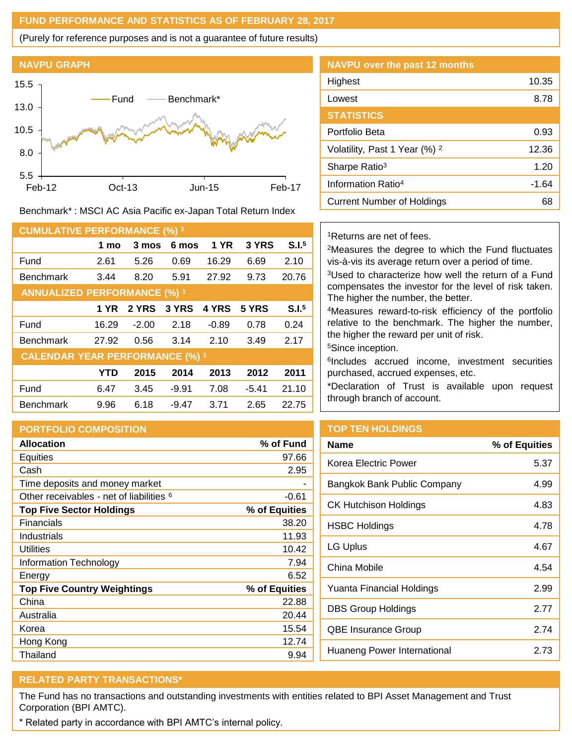#### **FUND PERFORMANCE AND STATISTICS AS OF FEBRUARY 28, 2017**

(Purely for reference purposes and is not a guarantee of future results)



Benchmark\* : MSCI AC Asia Pacific ex-Japan Total Return Index

| <b>CUMULATIVE PERFORMANCE (%) 1</b>    |       |         |         |             |         |                   |
|----------------------------------------|-------|---------|---------|-------------|---------|-------------------|
|                                        | 1 mo  | 3 mos   | 6 mos   | <b>1 YR</b> | 3 YRS   | S.I. <sup>5</sup> |
| Fund                                   | 2.61  | 5.26    | 0.69    | 16.29       | 6.69    | 2.10              |
| <b>Benchmark</b>                       | 3.44  | 8.20    | 5.91    | 27.92       | 9.73    | 20.76             |
| <b>ANNUALIZED PERFORMANCE (%) 1</b>    |       |         |         |             |         |                   |
|                                        | 1 YR  | 2 YRS   | 3 YRS   | 4 YRS       | 5 YRS   | S.I. <sup>5</sup> |
| Fund                                   | 16.29 | $-2.00$ | 2.18    | $-0.89$     | 0.78    | 0.24              |
| <b>Benchmark</b>                       | 27.92 | 0.56    | 3.14    | 2.10        | 3.49    | 2.17              |
| <b>CALENDAR YEAR PERFORMANCE (%) 1</b> |       |         |         |             |         |                   |
|                                        | YTD   | 2015    | 2014    | 2013        | 2012    | 2011              |
| Fund                                   | 6.47  | 3.45    | $-9.91$ | 7.08        | $-5.41$ | 21.10             |
| <b>Benchmark</b>                       | 9.96  | 6.18    | $-9.47$ | 3.71        | 2.65    | 22.75             |

## **PORTFOLIO COMPOSITION**

| <b>Allocation</b>                                   | % of Fund     |
|-----------------------------------------------------|---------------|
| <b>Equities</b>                                     | 97.66         |
| Cash                                                | 2.95          |
| Time deposits and money market                      |               |
| Other receivables - net of liabilities <sup>6</sup> | $-0.61$       |
| <b>Top Five Sector Holdings</b>                     | % of Equities |
| <b>Financials</b>                                   | 38.20         |
| Industrials                                         | 11.93         |
| Utilities                                           | 10.42         |
| Information Technology                              | 7.94          |
| Energy                                              | 6.52          |
| <b>Top Five Country Weightings</b>                  | % of Equities |
| China                                               | 22.88         |
| Australia                                           | 20.44         |
| Korea                                               | 15.54         |
| Hong Kong                                           | 12.74         |
| Thailand                                            | 9.94          |

| <b>NAVPU</b> over the past 12 months     |       |
|------------------------------------------|-------|
| Highest                                  | 10.35 |
| Lowest                                   | 8.78  |
| <b>STATISTICS</b>                        |       |
| Portfolio Beta                           | 0.93  |
| Volatility, Past 1 Year (%) <sup>2</sup> | 12.36 |
| Sharpe Ratio <sup>3</sup>                | 1.20  |
| Information Ratio <sup>4</sup>           | -1.64 |
| <b>Current Number of Holdings</b>        | 68    |

# <sup>1</sup>Returns are net of fees.

<sup>2</sup>Measures the degree to which the Fund fluctuates vis-à-vis its average return over a period of time.

<sup>3</sup>Used to characterize how well the return of a Fund compensates the investor for the level of risk taken. The higher the number, the better.

<sup>4</sup>Measures reward-to-risk efficiency of the portfolio relative to the benchmark. The higher the number, the higher the reward per unit of risk.

<sup>5</sup>Since inception.

6 Includes accrued income, investment securities purchased, accrued expenses, etc.

\*Declaration of Trust is available upon request through branch of account.

# **TOP TEN HOLDINGS**

| <b>Name</b>                  | % of Equities |
|------------------------------|---------------|
| Korea Electric Power         | 5.37          |
| Bangkok Bank Public Company  | 4.99          |
| <b>CK Hutchison Holdings</b> | 4.83          |
| <b>HSBC Holdings</b>         | 4.78          |
| LG Uplus                     | 4.67          |
| China Mobile                 | 4.54          |
| Yuanta Financial Holdings    | 2.99          |
| DBS Group Holdings           | 2.77          |
| <b>QBE Insurance Group</b>   | 2.74          |
| Huaneng Power International  | 2.73          |

# **RELATED PARTY TRANSACTIONS\***

The Fund has no transactions and outstanding investments with entities related to BPI Asset Management and Trust Corporation (BPI AMTC).

\* Related party in accordance with BPI AMTC's internal policy.